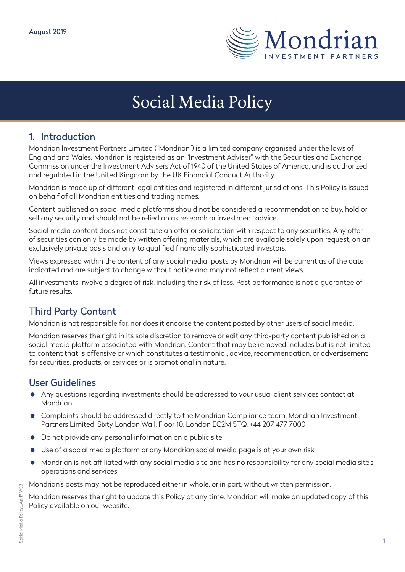

# Social Media Policy

#### 1. Introduction

Mondrian Investment Partners Limited ("Mondrian") is a limited company organised under the laws of England and Wales. Mondrian is registered as an "Investment Adviser" with the Securities and Exchange Commission under the Investment Advisers Act of 1940 of the United States of America, and is authorized and regulated in the United Kingdom by the UK Financial Conduct Authority.

Mondrian is made up of different legal entities and registered in different jurisdictions. This Policy is issued on behalf of all Mondrian entities and trading names.

Content published on social media platforms should not be considered a recommendation to buy, hold or sell any security and should not be relied on as research or investment advice.

Social media content does not constitute an offer or solicitation with respect to any securities. Any offer of securities can only be made by written offering materials, which are available solely upon request, on an exclusively private basis and only to qualified financially sophisticated investors.

Views expressed within the content of any social medial posts by Mondrian will be current as of the date indicated and are subject to change without notice and may not reflect current views.

All investments involve a degree of risk, including the risk of loss. Past performance is not a guarantee of future results.

## Third Party Content

Mondrian is not responsible for, nor does it endorse the content posted by other users of social media.

Mondrian reserves the right in its sole discretion to remove or edit any third-party content published on a social media platform associated with Mondrian. Content that may be removed includes but is not limited to content that is offensive or which constitutes a testimonial, advice, recommendation, or advertisement for securities, products, or services or is promotional in nature.

### User Guidelines

- Any questions regarding investments should be addressed to your usual client services contact at Mondrian
- Complaints should be addressed directly to the Mondrian Compliance team: Mondrian Investment Partners Limited, Sixty London Wall, Floor 10, London EC2M 5TQ, +44 207 477 7000
- Do not provide any personal information on a public site
- Use of a social media platform or any Mondrian social media page is at your own risk
- Mondrian is not affiliated with any social media site and has no responsibility for any social media site's operations and services

Mondrian's posts may not be reproduced either in whole, or in part, without written permission.

Mondrian reserves the right to update this Policy at any time. Mondrian will make an updated copy of this Policy available on our website.